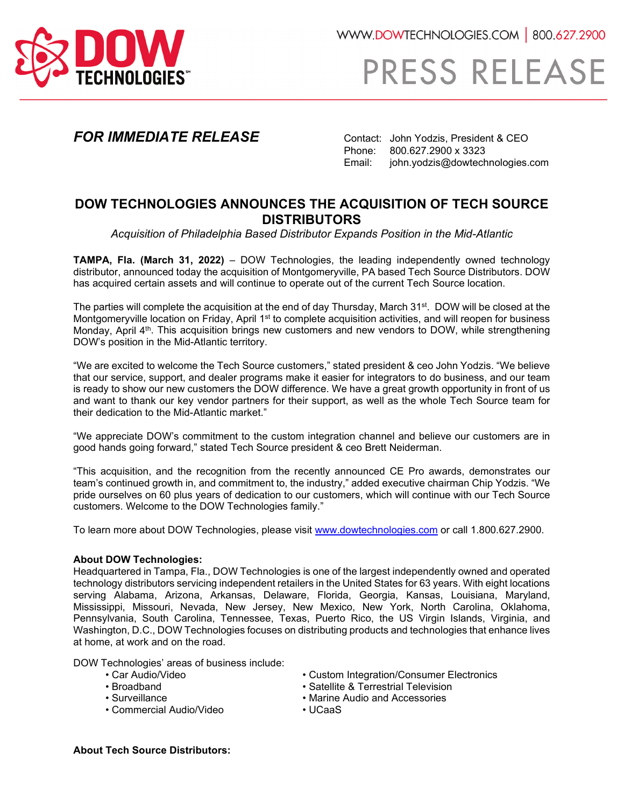

WWW.DOWTECHNOLOGIES.COM | 800.627.2900

## PRESS RELEASE

**FOR IMMEDIATE RELEASE** Contact: John Yodzis, President & CEO<br>Phone: 800.627.2900 x 3323 Phone: 800.627.2900 x 3323<br>Email: iohn.vodzis@dowtech john.yodzis@dowtechnologies.com

## **DOW TECHNOLOGIES ANNOUNCES THE ACQUISITION OF TECH SOURCE DISTRIBUTORS**

*Acquisition of Philadelphia Based Distributor Expands Position in the Mid-Atlantic*

**TAMPA, Fla. (March 31, 2022)** – DOW Technologies, the leading independently owned technology distributor, announced today the acquisition of Montgomeryville, PA based Tech Source Distributors. DOW has acquired certain assets and will continue to operate out of the current Tech Source location.

The parties will complete the acquisition at the end of day Thursday. March 31<sup>st</sup>. DOW will be closed at the Montgomeryville location on Friday, April 1<sup>st</sup> to complete acquisition activities, and will reopen for business Monday, April 4<sup>th</sup>. This acquisition brings new customers and new vendors to DOW, while strengthening DOW's position in the Mid-Atlantic territory.

"We are excited to welcome the Tech Source customers," stated president & ceo John Yodzis. "We believe that our service, support, and dealer programs make it easier for integrators to do business, and our team is ready to show our new customers the DOW difference. We have a great growth opportunity in front of us and want to thank our key vendor partners for their support, as well as the whole Tech Source team for their dedication to the Mid-Atlantic market."

"We appreciate DOW's commitment to the custom integration channel and believe our customers are in good hands going forward," stated Tech Source president & ceo Brett Neiderman.

"This acquisition, and the recognition from the recently announced CE Pro awards, demonstrates our team's continued growth in, and commitment to, the industry," added executive chairman Chip Yodzis. "We pride ourselves on 60 plus years of dedication to our customers, which will continue with our Tech Source customers. Welcome to the DOW Technologies family."

To learn more about DOW Technologies, please visit www.dowtechnologies.com or call 1.800.627.2900.

## **About DOW Technologies:**

Headquartered in Tampa, Fla., DOW Technologies is one of the largest independently owned and operated technology distributors servicing independent retailers in the United States for 63 years. With eight locations serving Alabama, Arizona, Arkansas, Delaware, Florida, Georgia, Kansas, Louisiana, Maryland, Mississippi, Missouri, Nevada, New Jersey, New Mexico, New York, North Carolina, Oklahoma, Pennsylvania, South Carolina, Tennessee, Texas, Puerto Rico, the US Virgin Islands, Virginia, and Washington, D.C., DOW Technologies focuses on distributing products and technologies that enhance lives at home, at work and on the road.

DOW Technologies' areas of business include:

- 
- 
- 
- Commercial Audio/Video UCaaS
- Custom Integration/Consumer Electronics
- Broadband Satellite & Terrestrial Television
	- Marine Audio and Accessories
	-